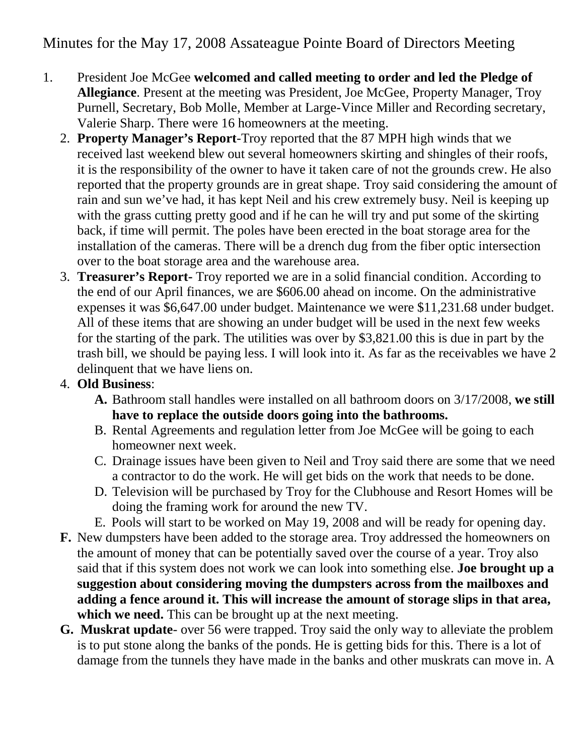Minutes for the May 17, 2008 Assateague Pointe Board of Directors Meeting

- 1. President Joe McGee **welcomed and called meeting to order and led the Pledge of Allegiance**. Present at the meeting was President, Joe McGee, Property Manager, Troy Purnell, Secretary, Bob Molle, Member at Large-Vince Miller and Recording secretary, Valerie Sharp. There were 16 homeowners at the meeting.
	- 2. **Property Manager's Report**-Troy reported that the 87 MPH high winds that we received last weekend blew out several homeowners skirting and shingles of their roofs, it is the responsibility of the owner to have it taken care of not the grounds crew. He also reported that the property grounds are in great shape. Troy said considering the amount of rain and sun we've had, it has kept Neil and his crew extremely busy. Neil is keeping up with the grass cutting pretty good and if he can he will try and put some of the skirting back, if time will permit. The poles have been erected in the boat storage area for the installation of the cameras. There will be a drench dug from the fiber optic intersection over to the boat storage area and the warehouse area.
	- 3. **Treasurer's Report-** Troy reported we are in a solid financial condition. According to the end of our April finances, we are \$606.00 ahead on income. On the administrative expenses it was \$6,647.00 under budget. Maintenance we were \$11,231.68 under budget. All of these items that are showing an under budget will be used in the next few weeks for the starting of the park. The utilities was over by \$3,821.00 this is due in part by the trash bill, we should be paying less. I will look into it. As far as the receivables we have 2 delinquent that we have liens on.
	- 4. **Old Business**:
		- **A.** Bathroom stall handles were installed on all bathroom doors on 3/17/2008, **we still have to replace the outside doors going into the bathrooms.**
		- B. Rental Agreements and regulation letter from Joe McGee will be going to each homeowner next week.
		- C. Drainage issues have been given to Neil and Troy said there are some that we need a contractor to do the work. He will get bids on the work that needs to be done.
		- D. Television will be purchased by Troy for the Clubhouse and Resort Homes will be doing the framing work for around the new TV.
		- E. Pools will start to be worked on May 19, 2008 and will be ready for opening day.
	- **F.** New dumpsters have been added to the storage area. Troy addressed the homeowners on the amount of money that can be potentially saved over the course of a year. Troy also said that if this system does not work we can look into something else. **Joe brought up a suggestion about considering moving the dumpsters across from the mailboxes and adding a fence around it. This will increase the amount of storage slips in that area,** which we need. This can be brought up at the next meeting.
	- **G. Muskrat update** over 56 were trapped. Troy said the only way to alleviate the problem is to put stone along the banks of the ponds. He is getting bids for this. There is a lot of damage from the tunnels they have made in the banks and other muskrats can move in. A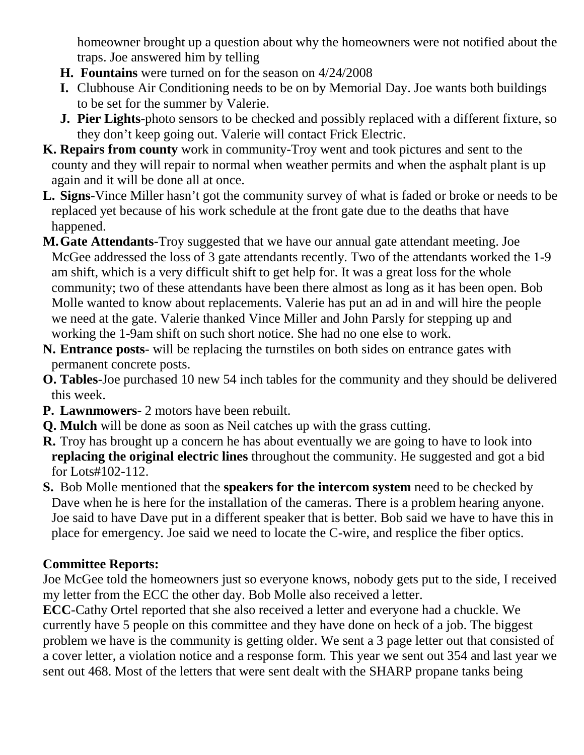homeowner brought up a question about why the homeowners were not notified about the traps. Joe answered him by telling

- **H. Fountains** were turned on for the season on 4/24/2008
- **I.** Clubhouse Air Conditioning needs to be on by Memorial Day. Joe wants both buildings to be set for the summer by Valerie.
- **J. Pier Lights**-photo sensors to be checked and possibly replaced with a different fixture, so they don't keep going out. Valerie will contact Frick Electric.
- **K. Repairs from county** work in community-Troy went and took pictures and sent to the county and they will repair to normal when weather permits and when the asphalt plant is up again and it will be done all at once.
- **L. Signs**-Vince Miller hasn't got the community survey of what is faded or broke or needs to be replaced yet because of his work schedule at the front gate due to the deaths that have happened.
- **M.Gate Attendants**-Troy suggested that we have our annual gate attendant meeting. Joe McGee addressed the loss of 3 gate attendants recently. Two of the attendants worked the 1-9 am shift, which is a very difficult shift to get help for. It was a great loss for the whole community; two of these attendants have been there almost as long as it has been open. Bob Molle wanted to know about replacements. Valerie has put an ad in and will hire the people we need at the gate. Valerie thanked Vince Miller and John Parsly for stepping up and working the 1-9am shift on such short notice. She had no one else to work.
- **N. Entrance posts** will be replacing the turnstiles on both sides on entrance gates with permanent concrete posts.
- **O. Tables**-Joe purchased 10 new 54 inch tables for the community and they should be delivered this week.
- **P. Lawnmowers** 2 motors have been rebuilt.
- **Q. Mulch** will be done as soon as Neil catches up with the grass cutting.
- **R.** Troy has brought up a concern he has about eventually we are going to have to look into **replacing the original electric lines** throughout the community. He suggested and got a bid for Lots#102-112.
- **S.** Bob Molle mentioned that the **speakers for the intercom system** need to be checked by Dave when he is here for the installation of the cameras. There is a problem hearing anyone. Joe said to have Dave put in a different speaker that is better. Bob said we have to have this in place for emergency. Joe said we need to locate the C-wire, and resplice the fiber optics.

## **Committee Reports:**

Joe McGee told the homeowners just so everyone knows, nobody gets put to the side, I received my letter from the ECC the other day. Bob Molle also received a letter.

**ECC**-Cathy Ortel reported that she also received a letter and everyone had a chuckle. We currently have 5 people on this committee and they have done on heck of a job. The biggest problem we have is the community is getting older. We sent a 3 page letter out that consisted of a cover letter, a violation notice and a response form. This year we sent out 354 and last year we sent out 468. Most of the letters that were sent dealt with the SHARP propane tanks being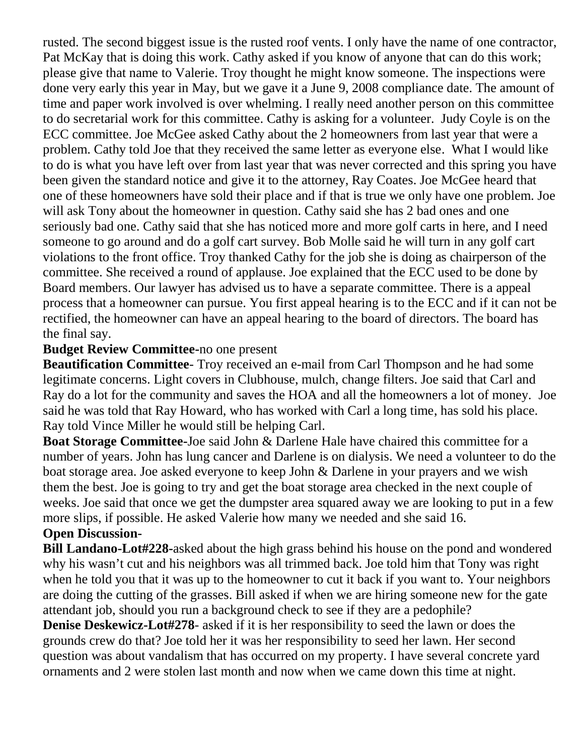rusted. The second biggest issue is the rusted roof vents. I only have the name of one contractor, Pat McKay that is doing this work. Cathy asked if you know of anyone that can do this work; please give that name to Valerie. Troy thought he might know someone. The inspections were done very early this year in May, but we gave it a June 9, 2008 compliance date. The amount of time and paper work involved is over whelming. I really need another person on this committee to do secretarial work for this committee. Cathy is asking for a volunteer. Judy Coyle is on the ECC committee. Joe McGee asked Cathy about the 2 homeowners from last year that were a problem. Cathy told Joe that they received the same letter as everyone else. What I would like to do is what you have left over from last year that was never corrected and this spring you have been given the standard notice and give it to the attorney, Ray Coates. Joe McGee heard that one of these homeowners have sold their place and if that is true we only have one problem. Joe will ask Tony about the homeowner in question. Cathy said she has 2 bad ones and one seriously bad one. Cathy said that she has noticed more and more golf carts in here, and I need someone to go around and do a golf cart survey. Bob Molle said he will turn in any golf cart violations to the front office. Troy thanked Cathy for the job she is doing as chairperson of the committee. She received a round of applause. Joe explained that the ECC used to be done by Board members. Our lawyer has advised us to have a separate committee. There is a appeal process that a homeowner can pursue. You first appeal hearing is to the ECC and if it can not be rectified, the homeowner can have an appeal hearing to the board of directors. The board has the final say.

## **Budget Review Committee-**no one present

**Beautification Committee**- Troy received an e-mail from Carl Thompson and he had some legitimate concerns. Light covers in Clubhouse, mulch, change filters. Joe said that Carl and Ray do a lot for the community and saves the HOA and all the homeowners a lot of money. Joe said he was told that Ray Howard, who has worked with Carl a long time, has sold his place. Ray told Vince Miller he would still be helping Carl.

**Boat Storage Committee-**Joe said John & Darlene Hale have chaired this committee for a number of years. John has lung cancer and Darlene is on dialysis. We need a volunteer to do the boat storage area. Joe asked everyone to keep John & Darlene in your prayers and we wish them the best. Joe is going to try and get the boat storage area checked in the next couple of weeks. Joe said that once we get the dumpster area squared away we are looking to put in a few more slips, if possible. He asked Valerie how many we needed and she said 16.

## **Open Discussion-**

**Bill Landano-Lot#228-**asked about the high grass behind his house on the pond and wondered why his wasn't cut and his neighbors was all trimmed back. Joe told him that Tony was right when he told you that it was up to the homeowner to cut it back if you want to. Your neighbors are doing the cutting of the grasses. Bill asked if when we are hiring someone new for the gate attendant job, should you run a background check to see if they are a pedophile?

**Denise Deskewicz-Lot#278**- asked if it is her responsibility to seed the lawn or does the grounds crew do that? Joe told her it was her responsibility to seed her lawn. Her second question was about vandalism that has occurred on my property. I have several concrete yard ornaments and 2 were stolen last month and now when we came down this time at night.